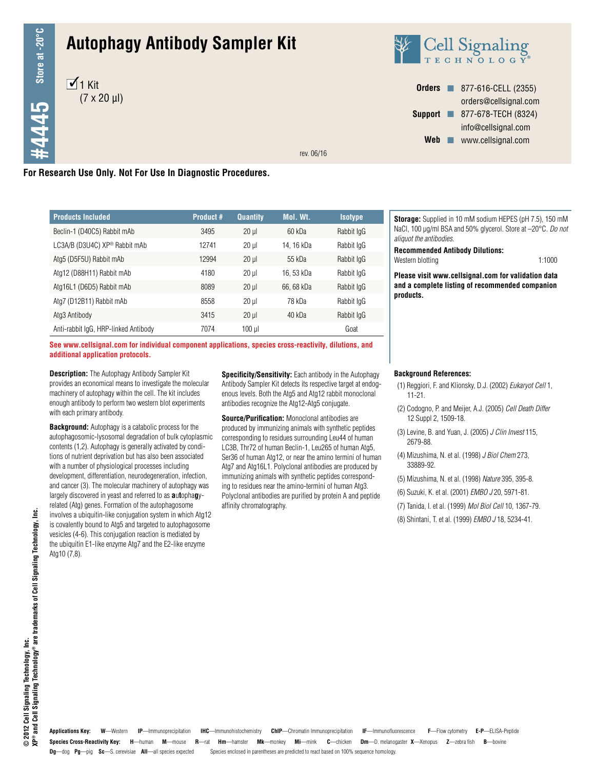# **Autophagy Antibody Sampler Kit**





**Orders n** 877-616-CELL (2355) orders@cellsignal.com **Support n** 877-678-TECH (8324) info@cellsignal.com Web www.cellsignal.com

rev. 06/16

# **For Research Use Only. Not For Use In Diagnostic Procedures.**

| <b>Products Included</b>                  | <b>Product #</b> | <b>Quantity</b> | Mol. Wt.   | <b>Isotype</b> |  |
|-------------------------------------------|------------------|-----------------|------------|----------------|--|
| Beclin-1 (D40C5) Rabbit mAb               | 3495             | $20 \mu$        | 60 kDa     | Rabbit IgG     |  |
| LC3A/B (D3U4C) XP <sup>®</sup> Rabbit mAb | 12741            | $20 \mu$        | 14, 16 kDa | Rabbit IgG     |  |
| Atg5 (D5F5U) Rabbit mAb                   | 12994            | $20 \mu$        | 55 kDa     | Rabbit IgG     |  |
| Atg12 (D88H11) Rabbit mAb                 | 4180             | $20 \mu$        | 16, 53 kDa | Rabbit IgG     |  |
| Atg16L1 (D6D5) Rabbit mAb                 | 8089             | $20 \mu$        | 66, 68 kDa | Rabbit IgG     |  |
| Atg7 (D12B11) Rabbit mAb                  | 8558             | $20 \mu$        | 78 kDa     | Rabbit IgG     |  |
| Atg3 Antibody                             | 3415             | $20 \mu$        | 40 kDa     | Rabbit IgG     |  |
| Anti-rabbit IgG, HRP-linked Antibody      | 7074             | $100$ $\mu$     |            | Goat           |  |

**See www.cellsignal.com for individual component applications, species cross-reactivity, dilutions, and additional application protocols.**

**Description:** The Autophagy Antibody Sampler Kit provides an economical means to investigate the molecular machinery of autophagy within the cell. The kit includes enough antibody to perform two western blot experiments with each primary antibody.

**Background:** Autophagy is a catabolic process for the autophagosomic-lysosomal degradation of bulk cytoplasmic contents (1,2). Autophagy is generally activated by conditions of nutrient deprivation but has also been associated with a number of physiological processes including development, differentiation, neurodegeneration, infection, and cancer (3). The molecular machinery of autophagy was largely discovered in yeast and referred to as **a**u**t**opha**g**yrelated (Atg) genes. Formation of the autophagosome involves a ubiquitin-like conjugation system in which Atg12 is covalently bound to Atg5 and targeted to autophagosome vesicles (4-6). This conjugation reaction is mediated by the ubiquitin E1-like enzyme Atg7 and the E2-like enzyme Atg10 (7,8).

**Specificity/Sensitivity:** Each antibody in the Autophagy Antibody Sampler Kit detects its respective target at endogenous levels. Both the Atg5 and Atg12 rabbit monoclonal antibodies recognize the Atg12-Atg5 conjugate.

**Source/Purification:** Monoclonal antibodies are produced by immunizing animals with synthetic peptides corresponding to residues surrounding Leu44 of human LC3B, Thr72 of human Beclin-1, Leu265 of human Atg5, Ser36 of human Atg12, or near the amino termini of human Atg7 and Atg16L1. Polyclonal antibodies are produced by immunizing animals with synthetic peptides corresponding to residues near the amino-termini of human Atg3. Polyclonal antibodies are purified by protein A and peptide affinity chromatography.

**Storage:** Supplied in 10 mM sodium HEPES (pH 7.5), 150 mM NaCl, 100 µg/ml BSA and 50% glycerol. Store at –20°C. *Do not aliquot the antibodies*.

**Recommended Antibody Dilutions:**

Western blotting 1:1000

**Please visit www.cellsignal.com for validation data and a complete listing of recommended companion products.**

#### **Background References:**

- (1) Reggiori, F. and Klionsky, D.J. (2002) *Eukaryot Cell* 1, 11-21.
- (2) Codogno, P. and Meijer, A.J. (2005) *Cell Death Differ* 12 Suppl 2, 1509-18.
- (3) Levine, B. and Yuan, J. (2005) *J Clin Invest* 115, 2679-88.
- (4) Mizushima, N. et al. (1998) *J Biol Chem* 273, 33889-92.
- (5) Mizushima, N. et al. (1998) *Nature* 395, 395-8.
- (6) Suzuki, K. et al. (2001) *EMBO J* 20, 5971-81.
- (7) Tanida, I. et al. (1999) *Mol Biol Cell* 10, 1367-79.
- (8) Shintani, T. et al. (1999) *EMBO J* 18, 5234-41.

Species Cross-Reactivity Key: H-human M-mouse R-rat Hm-hamster Mk-monkey Mi-mink C-chicken Dm-D. melanogaster X-Xenopus Z-zebra fish B-bovine **Dg**—dog **Pg**—pig **Sc**—S. cerevisiae **All**—all species expected Species enclosed in parentheses are predicted to react based on 100% sequence homology. **Applications Key: W**—Western **IP**—Immunoprecipitation **IHC**—Immunohistochemistry **ChIP**—Chromatin Immunoprecipitation **IF**—Immunofluorescence **F**—Flow cytometry **E-P**—ELISA-Peptide